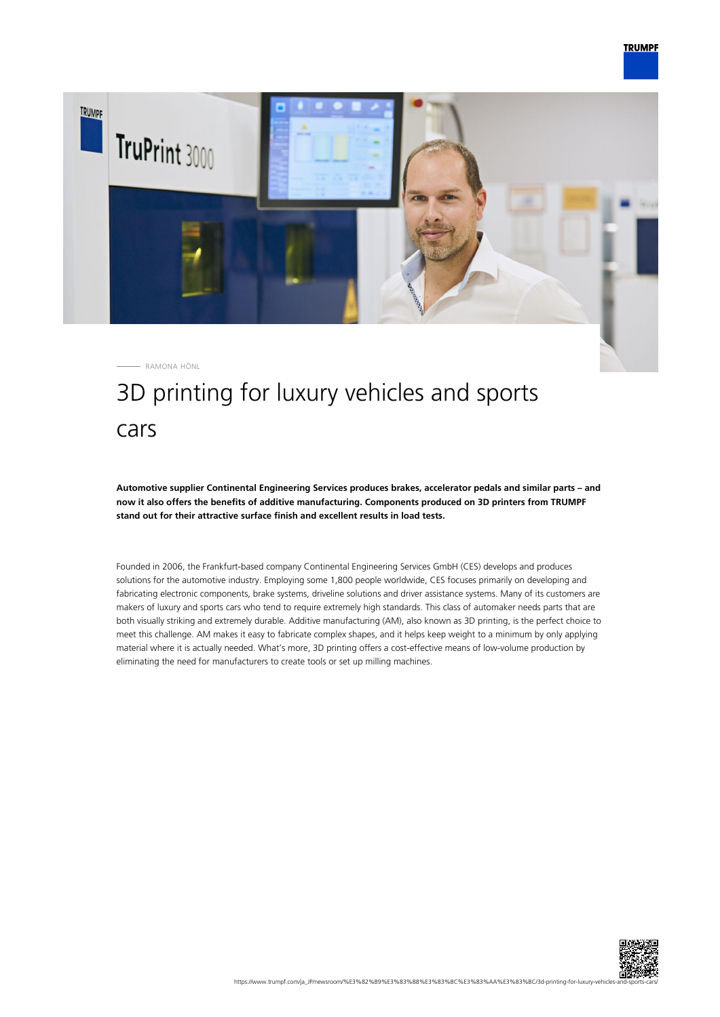

RAMONA HÖNL

# 3D printing for luxury vehicles and sports cars

**Automotive supplier Continental Engineering Services produces brakes, accelerator pedals and similar parts – and now it also offers the benefits of additive manufacturing. Components produced on 3D printers from TRUMPF stand out for their attractive surface finish and excellent results in load tests.**

Founded in 2006, the Frankfurt-based company Continental Engineering Services GmbH (CES) develops and produces solutions for the automotive industry. Employing some 1,800 people worldwide, CES focuses primarily on developing and fabricating electronic components, brake systems, driveline solutions and driver assistance systems. Many of its customers are makers of luxury and sports cars who tend to require extremely high standards. This class of automaker needs parts that are both visually striking and extremely durable. Additive manufacturing (AM), also known as 3D printing, is the perfect choice to meet this challenge. AM makes it easy to fabricate complex shapes, and it helps keep weight to a minimum by only applying material where it is actually needed. What's more, 3D printing offers a cost-effective means of low-volume production by eliminating the need for manufacturers to create tools or set up milling machines.

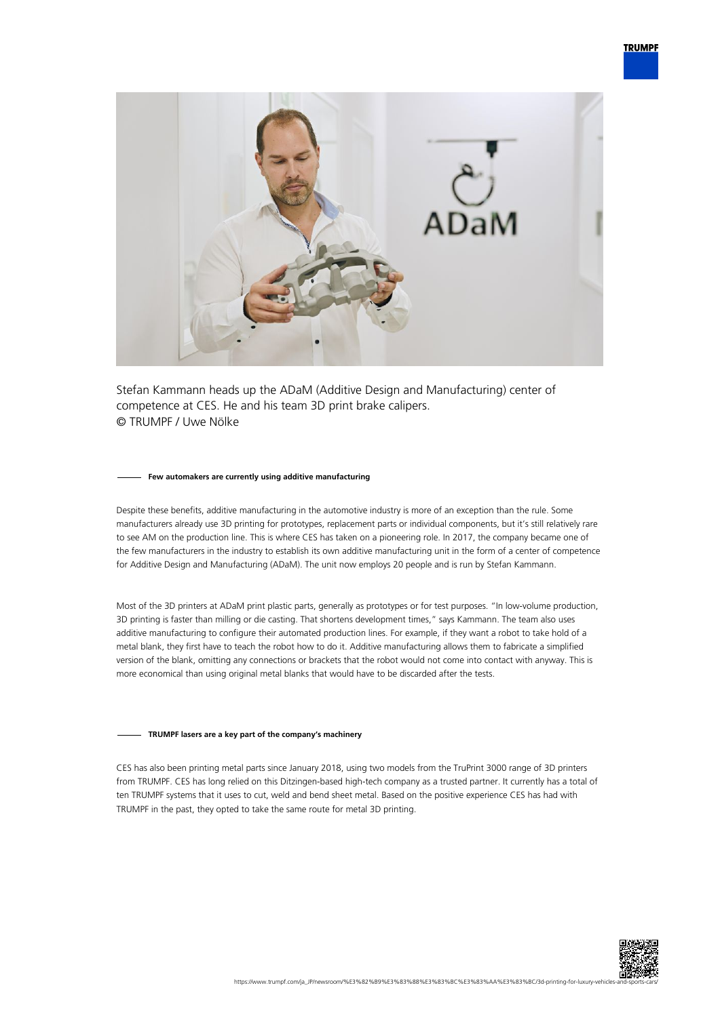

Stefan Kammann heads up the ADaM (Additive Design and Manufacturing) center of competence at CES. He and his team 3D print brake calipers. © TRUMPF / Uwe Nölke

#### **Few automakers are currently using additive manufacturing**

Despite these benefits, additive manufacturing in the automotive industry is more of an exception than the rule. Some manufacturers already use 3D printing for prototypes, replacement parts or individual components, but it's still relatively rare to see AM on the production line. This is where CES has taken on a pioneering role. In 2017, the company became one of the few manufacturers in the industry to establish its own additive manufacturing unit in the form of a center of competence for Additive Design and Manufacturing (ADaM). The unit now employs 20 people and is run by Stefan Kammann.

Most of the 3D printers at ADaM print plastic parts, generally as prototypes or for test purposes. "In low-volume production, 3D printing is faster than milling or die casting. That shortens development times," says Kammann. The team also uses additive manufacturing to configure their automated production lines. For example, if they want a robot to take hold of a metal blank, they first have to teach the robot how to do it. Additive manufacturing allows them to fabricate a simplified version of the blank, omitting any connections or brackets that the robot would not come into contact with anyway. This is more economical than using original metal blanks that would have to be discarded after the tests.

## **TRUMPF lasers are a key part of the company's machinery**

CES has also been printing metal parts since January 2018, using two models from the TruPrint 3000 range of 3D printers from TRUMPF. CES has long relied on this Ditzingen-based high-tech company as a trusted partner. It currently has a total of ten TRUMPF systems that it uses to cut, weld and bend sheet metal. Based on the positive experience CES has had with TRUMPF in the past, they opted to take the same route for metal 3D printing.

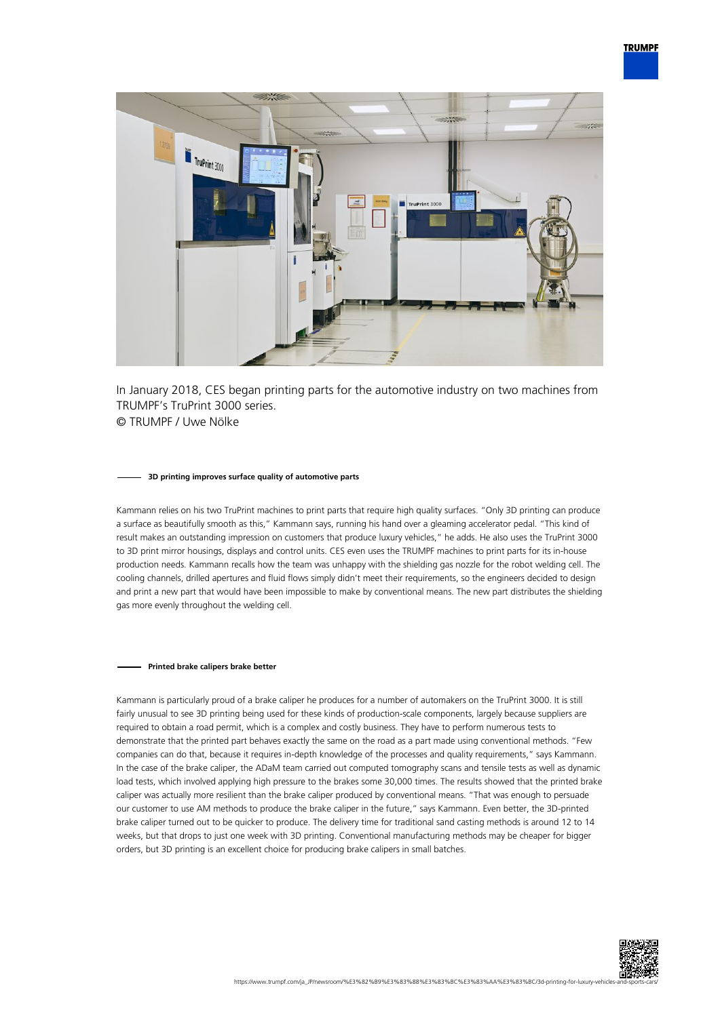

In January 2018, CES began printing parts for the automotive industry on two machines from TRUMPF's TruPrint 3000 series. © TRUMPF / Uwe Nölke

#### **3D printing improves surface quality of automotive parts**

Kammann relies on his two TruPrint machines to print parts that require high quality surfaces. "Only 3D printing can produce a surface as beautifully smooth as this," Kammann says, running his hand over a gleaming accelerator pedal. "This kind of result makes an outstanding impression on customers that produce luxury vehicles," he adds. He also uses the TruPrint 3000 to 3D print mirror housings, displays and control units. CES even uses the TRUMPF machines to print parts for its in-house production needs. Kammann recalls how the team was unhappy with the shielding gas nozzle for the robot welding cell. The cooling channels, drilled apertures and fluid flows simply didn't meet their requirements, so the engineers decided to design and print a new part that would have been impossible to make by conventional means. The new part distributes the shielding gas more evenly throughout the welding cell.

### **Printed brake calipers brake better**

Kammann is particularly proud of a brake caliper he produces for a number of automakers on the TruPrint 3000. It is still fairly unusual to see 3D printing being used for these kinds of production-scale components, largely because suppliers are required to obtain a road permit, which is a complex and costly business. They have to perform numerous tests to demonstrate that the printed part behaves exactly the same on the road as a part made using conventional methods. "Few companies can do that, because it requires in-depth knowledge of the processes and quality requirements," says Kammann. In the case of the brake caliper, the ADaM team carried out computed tomography scans and tensile tests as well as dynamic load tests, which involved applying high pressure to the brakes some 30,000 times. The results showed that the printed brake caliper was actually more resilient than the brake caliper produced by conventional means. "That was enough to persuade our customer to use AM methods to produce the brake caliper in the future," says Kammann. Even better, the 3D-printed brake caliper turned out to be quicker to produce. The delivery time for traditional sand casting methods is around 12 to 14 weeks, but that drops to just one week with 3D printing. Conventional manufacturing methods may be cheaper for bigger orders, but 3D printing is an excellent choice for producing brake calipers in small batches.